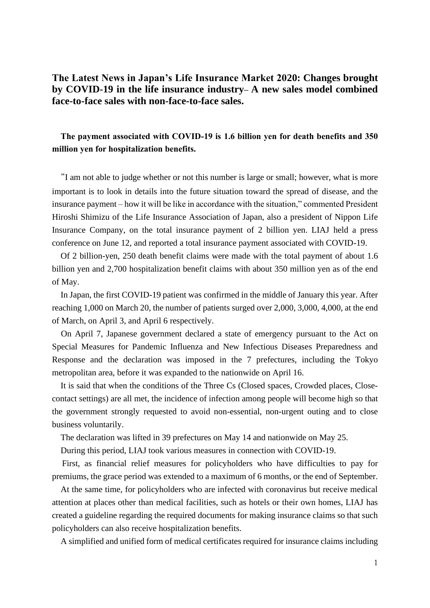# **The Latest News in Japan's Life Insurance Market 2020: Changes brought by COVID-19 in the life insurance industry– A new sales model combined face-to-face sales with non-face-to-face sales.**

## **The payment associated with COVID-19 is 1.6 billion yen for death benefits and 350 million yen for hospitalization benefits.**

"I am not able to judge whether or not this number is large or small; however, what is more important is to look in details into the future situation toward the spread of disease, and the insurance payment – how it will be like in accordance with the situation," commented President Hiroshi Shimizu of the Life Insurance Association of Japan, also a president of Nippon Life Insurance Company, on the total insurance payment of 2 billion yen. LIAJ held a press conference on June 12, and reported a total insurance payment associated with COVID-19.

Of 2 billion-yen, 250 death benefit claims were made with the total payment of about 1.6 billion yen and 2,700 hospitalization benefit claims with about 350 million yen as of the end of May.

In Japan, the first COVID-19 patient was confirmed in the middle of January this year. After reaching 1,000 on March 20, the number of patients surged over 2,000, 3,000, 4,000, at the end of March, on April 3, and April 6 respectively.

On April 7, Japanese government declared a state of emergency pursuant to the Act on Special Measures for Pandemic Influenza and New Infectious Diseases Preparedness and Response and the declaration was imposed in the 7 prefectures, including the Tokyo metropolitan area, before it was expanded to the nationwide on April 16.

It is said that when the conditions of the Three Cs (Closed spaces, Crowded places, Closecontact settings) are all met, the incidence of infection among people will become high so that the government strongly requested to avoid non-essential, non-urgent outing and to close business voluntarily.

The declaration was lifted in 39 prefectures on May 14 and nationwide on May 25.

During this period, LIAJ took various measures in connection with COVID-19.

First, as financial relief measures for policyholders who have difficulties to pay for premiums, the grace period was extended to a maximum of 6 months, or the end of September.

At the same time, for policyholders who are infected with coronavirus but receive medical attention at places other than medical facilities, such as hotels or their own homes, LIAJ has created a guideline regarding the required documents for making insurance claims so that such policyholders can also receive hospitalization benefits.

A simplified and unified form of medical certificates required for insurance claims including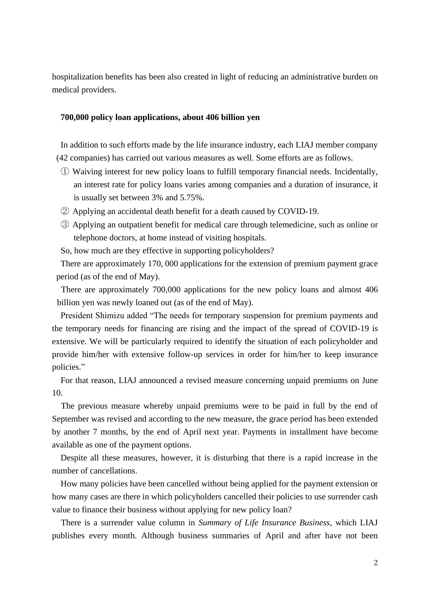hospitalization benefits has been also created in light of reducing an administrative burden on medical providers.

#### **700,000 policy loan applications, about 406 billion yen**

In addition to such efforts made by the life insurance industry, each LIAJ member company (42 companies) has carried out various measures as well. Some efforts are as follows.

- ① Waiving interest for new policy loans to fulfill temporary financial needs. Incidentally, an interest rate for policy loans varies among companies and a duration of insurance, it is usually set between 3% and 5.75%.
- ② Applying an accidental death benefit for a death caused by COVID-19.
- ③ Applying an outpatient benefit for medical care through telemedicine, such as online or telephone doctors, at home instead of visiting hospitals.
- So, how much are they effective in supporting policyholders?

There are approximately 170, 000 applications for the extension of premium payment grace period (as of the end of May).

There are approximately 700,000 applications for the new policy loans and almost 406 billion yen was newly loaned out (as of the end of May).

President Shimizu added "The needs for temporary suspension for premium payments and the temporary needs for financing are rising and the impact of the spread of COVID-19 is extensive. We will be particularly required to identify the situation of each policyholder and provide him/her with extensive follow-up services in order for him/her to keep insurance policies."

For that reason, LIAJ announced a revised measure concerning unpaid premiums on June 10.

The previous measure whereby unpaid premiums were to be paid in full by the end of September was revised and according to the new measure, the grace period has been extended by another 7 months, by the end of April next year. Payments in installment have become available as one of the payment options.

Despite all these measures, however, it is disturbing that there is a rapid increase in the number of cancellations.

How many policies have been cancelled without being applied for the payment extension or how many cases are there in which policyholders cancelled their policies to use surrender cash value to finance their business without applying for new policy loan?

There is a surrender value column in *Summary of Life Insurance Business*, which LIAJ publishes every month. Although business summaries of April and after have not been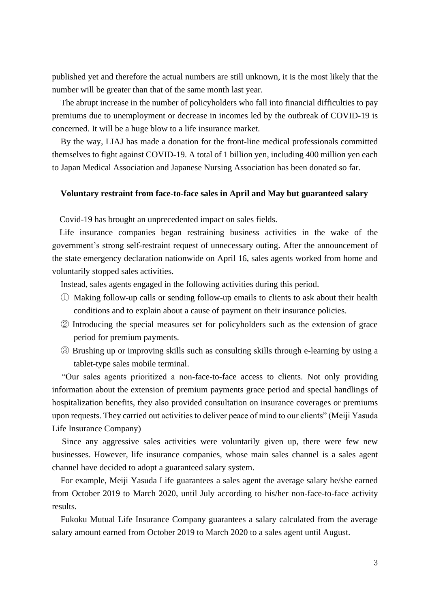published yet and therefore the actual numbers are still unknown, it is the most likely that the number will be greater than that of the same month last year.

The abrupt increase in the number of policyholders who fall into financial difficulties to pay premiums due to unemployment or decrease in incomes led by the outbreak of COVID-19 is concerned. It will be a huge blow to a life insurance market.

By the way, LIAJ has made a donation for the front-line medical professionals committed themselves to fight against COVID-19. A total of 1 billion yen, including 400 million yen each to Japan Medical Association and Japanese Nursing Association has been donated so far.

#### **Voluntary restraint from face-to-face sales in April and May but guaranteed salary**

Covid-19 has brought an unprecedented impact on sales fields.

Life insurance companies began restraining business activities in the wake of the government's strong self-restraint request of unnecessary outing. After the announcement of the state emergency declaration nationwide on April 16, sales agents worked from home and voluntarily stopped sales activities.

Instead, sales agents engaged in the following activities during this period.

- ① Making follow-up calls or sending follow-up emails to clients to ask about their health conditions and to explain about a cause of payment on their insurance policies.
- ② Introducing the special measures set for policyholders such as the extension of grace period for premium payments.
- ③ Brushing up or improving skills such as consulting skills through e-learning by using a tablet-type sales mobile terminal.

"Our sales agents prioritized a non-face-to-face access to clients. Not only providing information about the extension of premium payments grace period and special handlings of hospitalization benefits, they also provided consultation on insurance coverages or premiums upon requests. They carried out activities to deliver peace of mind to our clients" (Meiji Yasuda Life Insurance Company)

Since any aggressive sales activities were voluntarily given up, there were few new businesses. However, life insurance companies, whose main sales channel is a sales agent channel have decided to adopt a guaranteed salary system.

For example, Meiji Yasuda Life guarantees a sales agent the average salary he/she earned from October 2019 to March 2020, until July according to his/her non-face-to-face activity results.

Fukoku Mutual Life Insurance Company guarantees a salary calculated from the average salary amount earned from October 2019 to March 2020 to a sales agent until August.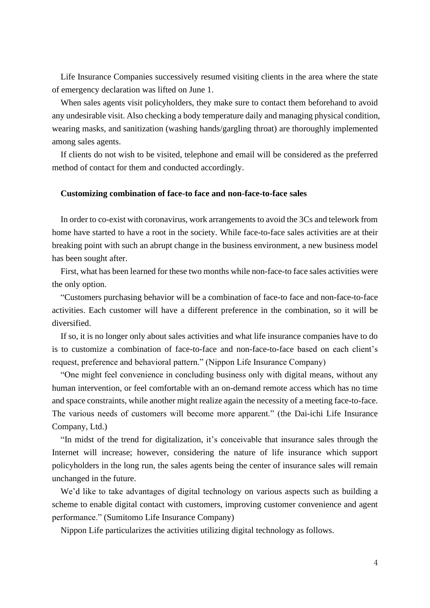Life Insurance Companies successively resumed visiting clients in the area where the state of emergency declaration was lifted on June 1.

When sales agents visit policyholders, they make sure to contact them beforehand to avoid any undesirable visit. Also checking a body temperature daily and managing physical condition, wearing masks, and sanitization (washing hands/gargling throat) are thoroughly implemented among sales agents.

If clients do not wish to be visited, telephone and email will be considered as the preferred method of contact for them and conducted accordingly.

#### **Customizing combination of face-to face and non-face-to-face sales**

In order to co-exist with coronavirus, work arrangements to avoid the 3Cs and telework from home have started to have a root in the society. While face-to-face sales activities are at their breaking point with such an abrupt change in the business environment, a new business model has been sought after.

First, what has been learned for these two months while non-face-to face sales activities were the only option.

"Customers purchasing behavior will be a combination of face-to face and non-face-to-face activities. Each customer will have a different preference in the combination, so it will be diversified.

If so, it is no longer only about sales activities and what life insurance companies have to do is to customize a combination of face-to-face and non-face-to-face based on each client's request, preference and behavioral pattern." (Nippon Life Insurance Company)

"One might feel convenience in concluding business only with digital means, without any human intervention, or feel comfortable with an on-demand remote access which has no time and space constraints, while another might realize again the necessity of a meeting face-to-face. The various needs of customers will become more apparent." (the Dai-ichi Life Insurance Company, Ltd.)

"In midst of the trend for digitalization, it's conceivable that insurance sales through the Internet will increase; however, considering the nature of life insurance which support policyholders in the long run, the sales agents being the center of insurance sales will remain unchanged in the future.

We'd like to take advantages of digital technology on various aspects such as building a scheme to enable digital contact with customers, improving customer convenience and agent performance." (Sumitomo Life Insurance Company)

Nippon Life particularizes the activities utilizing digital technology as follows.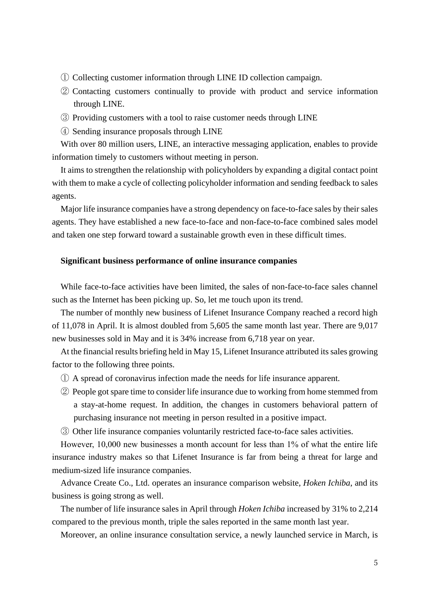- ① Collecting customer information through LINE ID collection campaign.
- ② Contacting customers continually to provide with product and service information through LINE.
- ③ Providing customers with a tool to raise customer needs through LINE
- ④ Sending insurance proposals through LINE

With over 80 million users, LINE, an interactive messaging application, enables to provide information timely to customers without meeting in person.

It aims to strengthen the relationship with policyholders by expanding a digital contact point with them to make a cycle of collecting policyholder information and sending feedback to sales agents.

Major life insurance companies have a strong dependency on face-to-face sales by their sales agents. They have established a new face-to-face and non-face-to-face combined sales model and taken one step forward toward a sustainable growth even in these difficult times.

#### **Significant business performance of online insurance companies**

While face-to-face activities have been limited, the sales of non-face-to-face sales channel such as the Internet has been picking up. So, let me touch upon its trend.

The number of monthly new business of Lifenet Insurance Company reached a record high of 11,078 in April. It is almost doubled from 5,605 the same month last year. There are 9,017 new businesses sold in May and it is 34% increase from 6,718 year on year.

At the financial results briefing held in May 15, Lifenet Insurance attributed its sales growing factor to the following three points.

- ① A spread of coronavirus infection made the needs for life insurance apparent.
- ② People got spare time to consider life insurance due to working from home stemmed from a stay-at-home request. In addition, the changes in customers behavioral pattern of purchasing insurance not meeting in person resulted in a positive impact.
- ③ Other life insurance companies voluntarily restricted face-to-face sales activities.

However, 10,000 new businesses a month account for less than 1% of what the entire life insurance industry makes so that Lifenet Insurance is far from being a threat for large and medium-sized life insurance companies.

Advance Create Co., Ltd. operates an insurance comparison website, *Hoken Ichiba*, and its business is going strong as well.

The number of life insurance sales in April through *Hoken Ichiba* increased by 31% to 2,214 compared to the previous month, triple the sales reported in the same month last year.

Moreover, an online insurance consultation service, a newly launched service in March, is